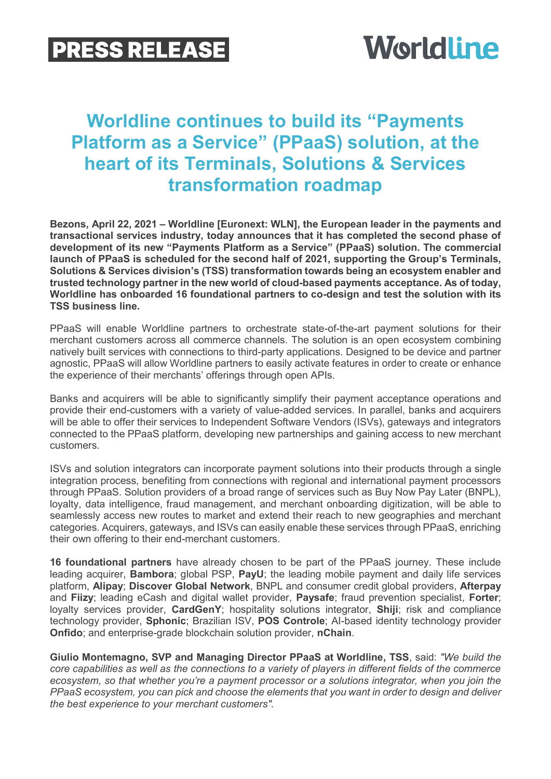## **PRESS RELEASE**



## **Worldline continues to build its "Payments Platform as a Service" (PPaaS) solution, at the heart of its Terminals, Solutions & Services transformation roadmap**

**Bezons, April 22, 2021 – Worldline [Euronext: WLN], the European leader in the payments and transactional services industry, today announces that it has completed the second phase of development of its new "Payments Platform as a Service" (PPaaS) solution. The commercial launch of PPaaS is scheduled for the second half of 2021, supporting the Group's Terminals, Solutions & Services division's (TSS) transformation towards being an ecosystem enabler and trusted technology partner in the new world of cloud-based payments acceptance. As of today, Worldline has onboarded 16 foundational partners to co-design and test the solution with its TSS business line.**

PPaaS will enable Worldline partners to orchestrate state-of-the-art payment solutions for their merchant customers across all commerce channels. The solution is an open ecosystem combining natively built services with connections to third-party applications. Designed to be device and partner agnostic, PPaaS will allow Worldline partners to easily activate features in order to create or enhance the experience of their merchants' offerings through open APIs.

Banks and acquirers will be able to significantly simplify their payment acceptance operations and provide their end-customers with a variety of value-added services. In parallel, banks and acquirers will be able to offer their services to Independent Software Vendors (ISVs), gateways and integrators connected to the PPaaS platform, developing new partnerships and gaining access to new merchant customers.

ISVs and solution integrators can incorporate payment solutions into their products through a single integration process, benefiting from connections with regional and international payment processors through PPaaS. Solution providers of a broad range of services such as Buy Now Pay Later (BNPL), loyalty, data intelligence, fraud management, and merchant onboarding digitization, will be able to seamlessly access new routes to market and extend their reach to new geographies and merchant categories. Acquirers, gateways, and ISVs can easily enable these services through PPaaS, enriching their own offering to their end-merchant customers.

**16 foundational partners** have already chosen to be part of the PPaaS journey. These include leading acquirer, **Bambora**; global PSP, **PayU**; the leading mobile payment and daily life services platform, **Alipay**; **Discover Global Network**, BNPL and consumer credit global providers, **Afterpay** and **Fiizy**; leading eCash and digital wallet provider, **Paysafe**; fraud prevention specialist, **Forter**; loyalty services provider, **CardGenY**; hospitality solutions integrator, **Shiji**; risk and compliance technology provider, **Sphonic**; Brazilian ISV, **POS Controle**; AI-based identity technology provider **Onfido**; and enterprise-grade blockchain solution provider, **nChain**.

**Giulio Montemagno, SVP and Managing Director PPaaS at Worldline, TSS**, said: *"We build the core capabilities as well as the connections to a variety of players in different fields of the commerce ecosystem, so that whether you're a payment processor or a solutions integrator, when you join the PPaaS ecosystem, you can pick and choose the elements that you want in order to design and deliver the best experience to your merchant customers".*